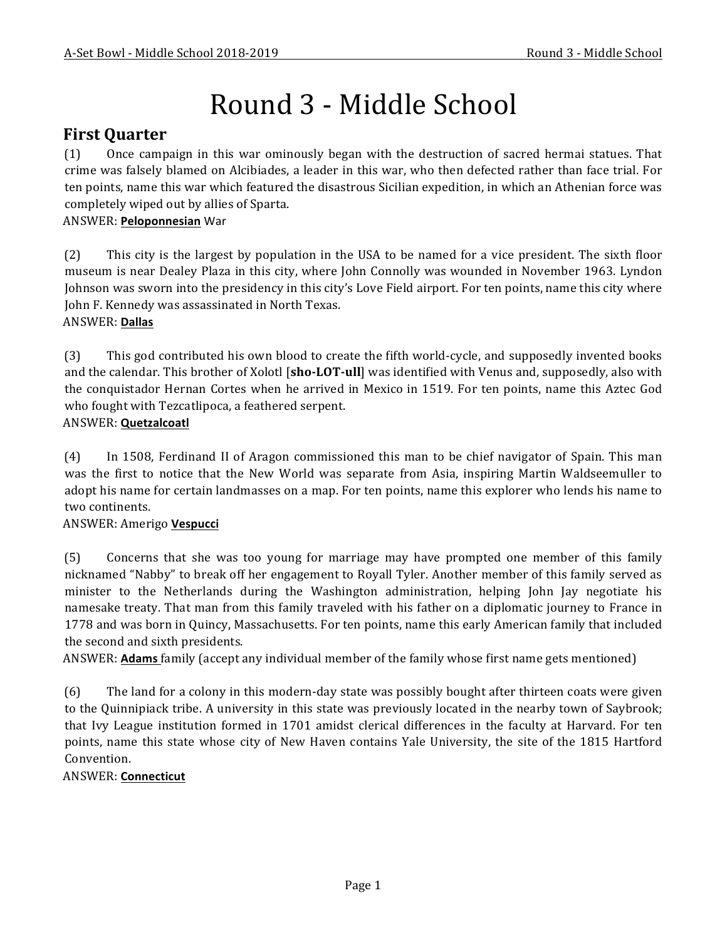# Round 3 - Middle School

# **First Quarter**

(1) Once campaign in this war ominously began with the destruction of sacred hermai statues. That crime was falsely blamed on Alcibiades, a leader in this war, who then defected rather than face trial. For ten points, name this war which featured the disastrous Sicilian expedition, in which an Athenian force was completely wiped out by allies of Sparta.

#### ANSWER: **Peloponnesian** War

(2) This city is the largest by population in the USA to be named for a vice president. The sixth floor museum is near Dealey Plaza in this city, where John Connolly was wounded in November 1963. Lyndon Johnson was sworn into the presidency in this city's Love Field airport. For ten points, name this city where John F. Kennedy was assassinated in North Texas.

#### ANSWER: **Dallas**

(3) This god contributed his own blood to create the fifth world-cycle, and supposedly invented books and the calendar. This brother of Xolotl [sho-LOT-ull] was identified with Venus and, supposedly, also with the conquistador Hernan Cortes when he arrived in Mexico in 1519. For ten points, name this Aztec God who fought with Tezcatlipoca, a feathered serpent.

#### ANSWER: **Quetzalcoatl**

(4) In 1508, Ferdinand II of Aragon commissioned this man to be chief navigator of Spain. This man was the first to notice that the New World was separate from Asia, inspiring Martin Waldseemuller to adopt his name for certain landmasses on a map. For ten points, name this explorer who lends his name to two continents.

#### ANSWER: Amerigo **Vespucci**

(5) Concerns that she was too young for marriage may have prompted one member of this family nicknamed "Nabby" to break off her engagement to Royall Tyler. Another member of this family served as minister to the Netherlands during the Washington administration, helping John Jay negotiate his namesake treaty. That man from this family traveled with his father on a diplomatic journey to France in 1778 and was born in Quincy, Massachusetts. For ten points, name this early American family that included the second and sixth presidents.

ANSWER: **Adams** family (accept any individual member of the family whose first name gets mentioned)

(6) The land for a colony in this modern-day state was possibly bought after thirteen coats were given to the Quinnipiack tribe. A university in this state was previously located in the nearby town of Saybrook; that Ivy League institution formed in 1701 amidst clerical differences in the faculty at Harvard. For ten points, name this state whose city of New Haven contains Yale University, the site of the 1815 Hartford Convention.

#### ANSWER: **Connecticut**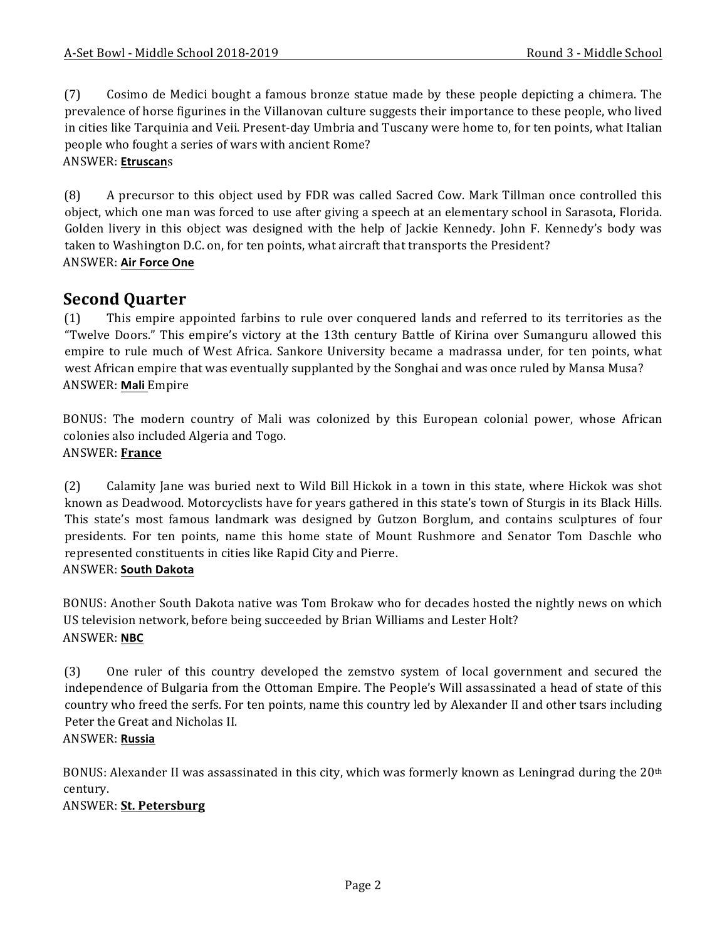(7) Cosimo de Medici bought a famous bronze statue made by these people depicting a chimera. The prevalence of horse figurines in the Villanovan culture suggests their importance to these people, who lived in cities like Tarquinia and Veii. Present-day Umbria and Tuscany were home to, for ten points, what Italian people who fought a series of wars with ancient Rome?

#### ANSWER: **Etruscan**s

(8) A precursor to this object used by FDR was called Sacred Cow. Mark Tillman once controlled this object, which one man was forced to use after giving a speech at an elementary school in Sarasota, Florida. Golden livery in this object was designed with the help of Jackie Kennedy. John F. Kennedy's body was taken to Washington D.C. on, for ten points, what aircraft that transports the President? ANSWER: **Air Force One**

# **Second Quarter**

(1) This empire appointed farbins to rule over conquered lands and referred to its territories as the "Twelve Doors." This empire's victory at the 13th century Battle of Kirina over Sumanguru allowed this empire to rule much of West Africa. Sankore University became a madrassa under, for ten points, what west African empire that was eventually supplanted by the Songhai and was once ruled by Mansa Musa? ANSWER: **Mali** Empire

BONUS: The modern country of Mali was colonized by this European colonial power, whose African colonies also included Algeria and Togo. ANSWER: **France**

(2) Calamity Jane was buried next to Wild Bill Hickok in a town in this state, where Hickok was shot known as Deadwood. Motorcyclists have for years gathered in this state's town of Sturgis in its Black Hills. This state's most famous landmark was designed by Gutzon Borglum, and contains sculptures of four presidents. For ten points, name this home state of Mount Rushmore and Senator Tom Daschle who represented constituents in cities like Rapid City and Pierre.

#### ANSWER: **South Dakota**

BONUS: Another South Dakota native was Tom Brokaw who for decades hosted the nightly news on which US television network, before being succeeded by Brian Williams and Lester Holt? ANSWER: **NBC**

(3) One ruler of this country developed the zemstvo system of local government and secured the independence of Bulgaria from the Ottoman Empire. The People's Will assassinated a head of state of this country who freed the serfs. For ten points, name this country led by Alexander II and other tsars including Peter the Great and Nicholas II.

# ANSWER: **Russia**

BONUS: Alexander II was assassinated in this city, which was formerly known as Leningrad during the  $20<sup>th</sup>$ century.

#### ANSWER: **St. Petersburg**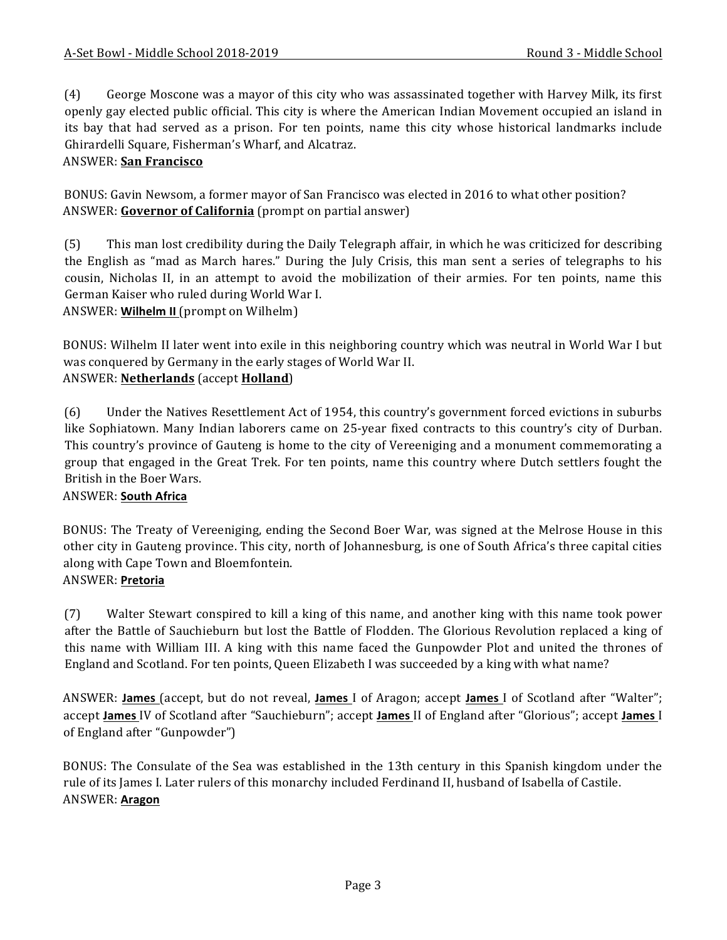(4) George Moscone was a mayor of this city who was assassinated together with Harvey Milk, its first openly gay elected public official. This city is where the American Indian Movement occupied an island in its bay that had served as a prison. For ten points, name this city whose historical landmarks include Ghirardelli Square, Fisherman's Wharf, and Alcatraz.

## ANSWER: **San Francisco**

BONUS: Gavin Newsom, a former mayor of San Francisco was elected in 2016 to what other position? ANSWER: **Governor of California** (prompt on partial answer)

(5) This man lost credibility during the Daily Telegraph affair, in which he was criticized for describing the English as "mad as March hares." During the July Crisis, this man sent a series of telegraphs to his cousin, Nicholas II, in an attempt to avoid the mobilization of their armies. For ten points, name this German Kaiser who ruled during World War I.

ANSWER: **Wilhelm II** (prompt on Wilhelm)

BONUS: Wilhelm II later went into exile in this neighboring country which was neutral in World War I but was conquered by Germany in the early stages of World War II. ANSWER: **Netherlands** (accept **Holland**)

(6) Under the Natives Resettlement Act of 1954, this country's government forced evictions in suburbs like Sophiatown. Many Indian laborers came on 25-year fixed contracts to this country's city of Durban. This country's province of Gauteng is home to the city of Vereeniging and a monument commemorating a group that engaged in the Great Trek. For ten points, name this country where Dutch settlers fought the British in the Boer Wars.

#### ANSWER: **South Africa**

BONUS: The Treaty of Vereeniging, ending the Second Boer War, was signed at the Melrose House in this other city in Gauteng province. This city, north of Johannesburg, is one of South Africa's three capital cities along with Cape Town and Bloemfontein.

#### ANSWER: **Pretoria**

(7) Walter Stewart conspired to kill a king of this name, and another king with this name took power after the Battle of Sauchieburn but lost the Battle of Flodden. The Glorious Revolution replaced a king of this name with William III. A king with this name faced the Gunpowder Plot and united the thrones of England and Scotland. For ten points, Queen Elizabeth I was succeeded by a king with what name?

ANSWER: **James** (accept, but do not reveal, James I of Aragon; accept James I of Scotland after "Walter"; accept **James** IV of Scotland after "Sauchieburn"; accept **James** II of England after "Glorious"; accept **James** I of England after "Gunpowder")

BONUS: The Consulate of the Sea was established in the 13th century in this Spanish kingdom under the rule of its James I. Later rulers of this monarchy included Ferdinand II, husband of Isabella of Castile. ANSWER: **Aragon**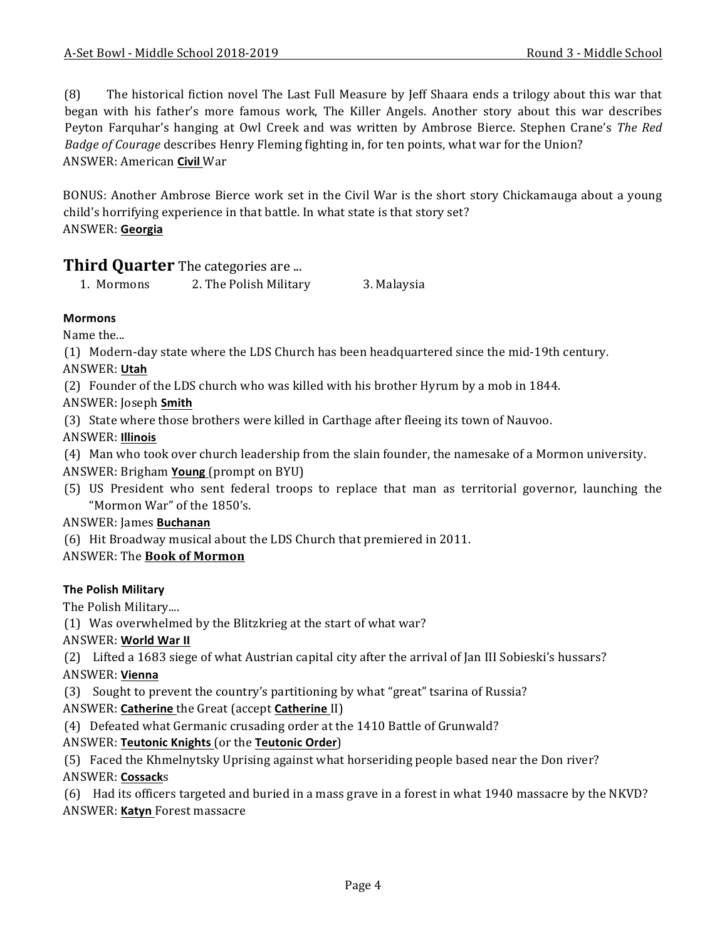(8) The historical fiction novel The Last Full Measure by Jeff Shaara ends a trilogy about this war that began with his father's more famous work, The Killer Angels. Another story about this war describes Peyton Farquhar's hanging at Owl Creek and was written by Ambrose Bierce. Stephen Crane's The Red *Badge of Courage* describes Henry Fleming fighting in, for ten points, what war for the Union? ANSWER: American **Civil** War

BONUS: Another Ambrose Bierce work set in the Civil War is the short story Chickamauga about a young child's horrifying experience in that battle. In what state is that story set? ANSWER: **Georgia**

# **Third Quarter** The categories are ...

1. Mormons 2. The Polish Military 3. Malaysia

#### **Mormons**

Name the...

(1) Modern-day state where the LDS Church has been headquartered since the mid-19th century.

### ANSWER: **Utah**

(2) Founder of the LDS church who was killed with his brother Hyrum by a mob in 1844.

ANSWER: Joseph **Smith**

(3) State where those brothers were killed in Carthage after fleeing its town of Nauvoo.

ANSWER: **Illinois**

(4) Man who took over church leadership from the slain founder, the namesake of a Mormon university.

ANSWER: Brigham **Young** (prompt on BYU)

(5) US President who sent federal troops to replace that man as territorial governor, launching the "Mormon War" of the 1850's.

#### ANSWER: James **Buchanan**

(6) Hit Broadway musical about the LDS Church that premiered in 2011.

ANSWER: The **Book of Mormon**

# **The Polish Military**

The Polish Military....

(1) Was overwhelmed by the Blitzkrieg at the start of what war?

# ANSWER: **World War II**

(2) Lifted a 1683 siege of what Austrian capital city after the arrival of Jan III Sobieski's hussars?

# ANSWER: **Vienna**

(3) Sought to prevent the country's partitioning by what "great" tsarina of Russia?

ANSWER: Catherine the Great (accept Catherine II)

(4) Defeated what Germanic crusading order at the 1410 Battle of Grunwald?

# ANSWER: **Teutonic Knights** (or the **Teutonic Order**)

(5) Faced the Khmelnytsky Uprising against what horseriding people based near the Don river? ANSWER: **Cossack**s

(6) Had its officers targeted and buried in a mass grave in a forest in what 1940 massacre by the NKVD? ANSWER: Katyn Forest massacre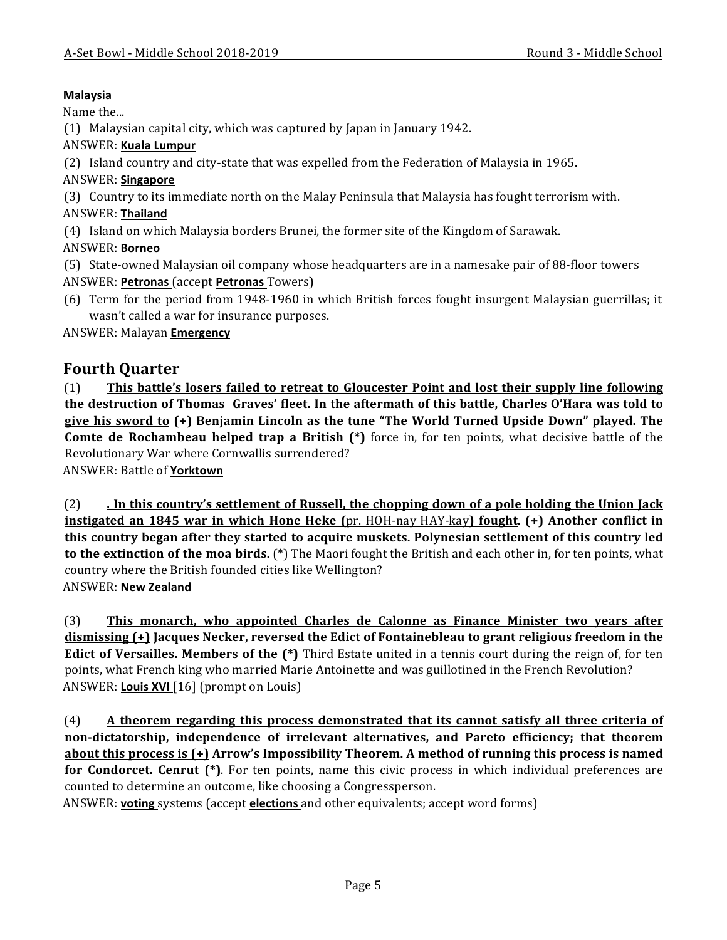#### **Malaysia**

Name the...

(1) Malaysian capital city, which was captured by Japan in January 1942.

#### ANSWER: **Kuala Lumpur**

(2) Island country and city-state that was expelled from the Federation of Malaysia in 1965.

#### ANSWER: **Singapore**

(3) Country to its immediate north on the Malay Peninsula that Malaysia has fought terrorism with.

#### ANSWER: **Thailand**

(4) Island on which Malaysia borders Brunei, the former site of the Kingdom of Sarawak.

# ANSWER: **Borneo**

(5) State-owned Malaysian oil company whose headquarters are in a namesake pair of 88-floor towers ANSWER: **Petronas** (accept **Petronas** Towers)

(6) Term for the period from 1948-1960 in which British forces fought insurgent Malaysian guerrillas; it wasn't called a war for insurance purposes.

ANSWER: Malayan **Emergency**

# **Fourth Quarter**

(1) **This battle's losers failed to retreat to Gloucester Point and lost their supply line following the destruction of Thomas Graves' fleet. In the aftermath of this battle, Charles O'Hara was told to give his sword to (+) Benjamin Lincoln as the tune "The World Turned Upside Down" played. The Comte de Rochambeau helped trap a British (\*)** force in, for ten points, what decisive battle of the Revolutionary War where Cornwallis surrendered?

ANSWER: Battle of **Yorktown**

(2) **. In this country's settlement of Russell, the chopping down of a pole holding the Union Jack instigated an 1845 war in which Hone Heke** (pr. HOH-nay HAY-kay) **fought.** (+) Another conflict in **this country began after they started to acquire muskets. Polynesian settlement of this country led to the extinction of the moa birds.** (\*) The Maori fought the British and each other in, for ten points, what country where the British founded cities like Wellington? ANSWER: **New Zealand**

(3) **This monarch, who appointed Charles de Calonne as Finance Minister two years after** dismissing (+) Jacques Necker, reversed the Edict of Fontainebleau to grant religious freedom in the **Edict of Versailles. Members of the (\*)** Third Estate united in a tennis court during the reign of, for ten points, what French king who married Marie Antoinette and was guillotined in the French Revolution? ANSWER: Louis XVI [16] (prompt on Louis)

(4) **A** theorem regarding this process demonstrated that its cannot satisfy all three criteria of **non-dictatorship, independence of irrelevant alternatives, and Pareto efficiency; that theorem <u>about this process is (+)</u> Arrow's Impossibility Theorem. A method of running this process is named for Condorcet.** Cenrut (\*). For ten points, name this civic process in which individual preferences are counted to determine an outcome, like choosing a Congressperson.

ANSWER: **voting** systems (accept **elections** and other equivalents; accept word forms)